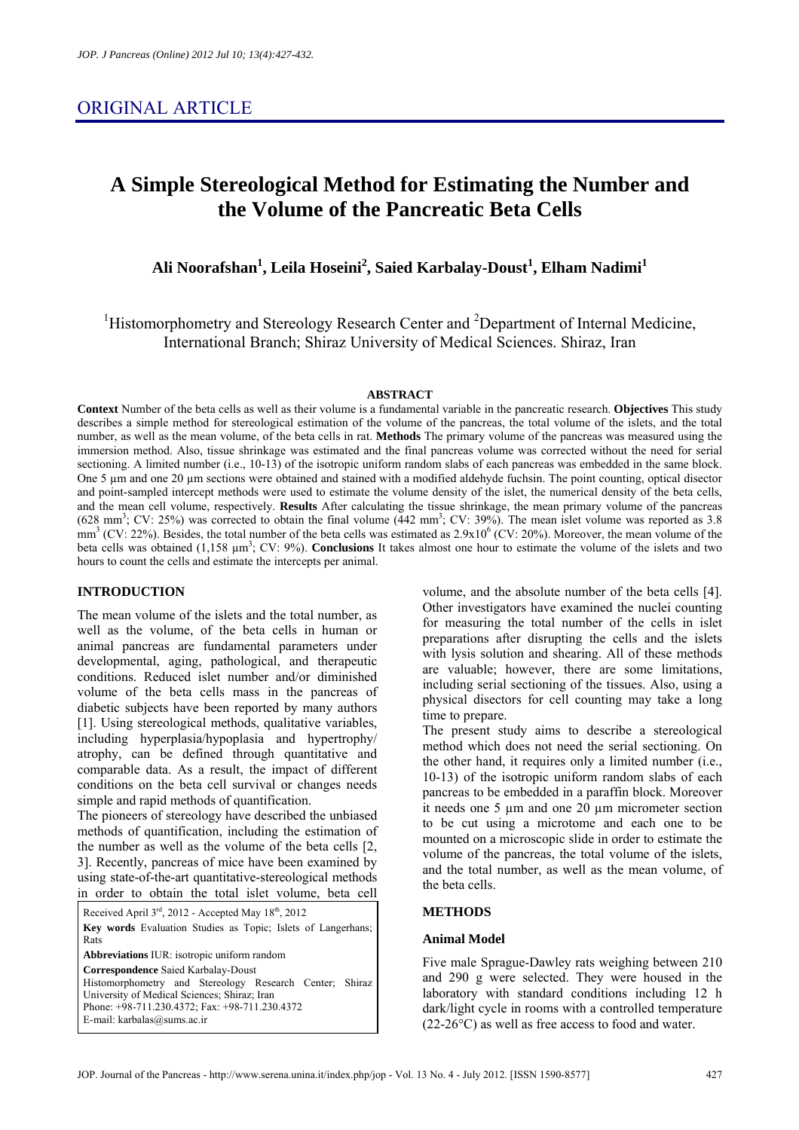# **A Simple Stereological Method for Estimating the Number and the Volume of the Pancreatic Beta Cells**

**Ali Noorafshan1 , Leila Hoseini2 , Saied Karbalay-Doust<sup>1</sup> , Elham Nadimi1**

<sup>1</sup>Histomorphometry and Stereology Research Center and <sup>2</sup>Department of Internal Medicine, International Branch; Shiraz University of Medical Sciences. Shiraz, Iran

#### **ABSTRACT**

**Context** Number of the beta cells as well as their volume is a fundamental variable in the pancreatic research. **Objectives** This study describes a simple method for stereological estimation of the volume of the pancreas, the total volume of the islets, and the total number, as well as the mean volume, of the beta cells in rat. **Methods** The primary volume of the pancreas was measured using the immersion method. Also, tissue shrinkage was estimated and the final pancreas volume was corrected without the need for serial sectioning. A limited number (i.e., 10-13) of the isotropic uniform random slabs of each pancreas was embedded in the same block. One 5 µm and one 20 µm sections were obtained and stained with a modified aldehyde fuchsin. The point counting, optical disector and point-sampled intercept methods were used to estimate the volume density of the islet, the numerical density of the beta cells, and the mean cell volume, respectively. **Results** After calculating the tissue shrinkage, the mean primary volume of the pancreas  $(628 \text{ mm}^3; \text{CV: } 25\%)$  was corrected to obtain the final volume  $(442 \text{ mm}^3; \text{CV: } 39\%)$ . The mean islet volume was reported as 3.8 mm<sup>3</sup> (CV: 22%). Besides, the total number of the beta cells was estimated as  $2.9 \times 10^6$  (CV: 20%). Moreover, the mean volume of the beta cells was obtained (1,158  $\mu$ m<sup>3</sup>; CV: 9%). **Conclusions** It takes almost one hour to estimate the volume of the islets and two hours to count the cells and estimate the intercepts per animal.

# **INTRODUCTION**

The mean volume of the islets and the total number, as well as the volume, of the beta cells in human or animal pancreas are fundamental parameters under developmental, aging, pathological, and therapeutic conditions. Reduced islet number and/or diminished volume of the beta cells mass in the pancreas of diabetic subjects have been reported by many authors [1]. Using stereological methods, qualitative variables, including hyperplasia/hypoplasia and hypertrophy/ atrophy, can be defined through quantitative and comparable data. As a result, the impact of different conditions on the beta cell survival or changes needs simple and rapid methods of quantification.

The pioneers of stereology have described the unbiased methods of quantification, including the estimation of the number as well as the volume of the beta cells [2, 3]. Recently, pancreas of mice have been examined by using state-of-the-art quantitative-stereological methods in order to obtain the total islet volume, beta cell

Received April  $3^{rd}$ , 2012 - Accepted May  $18^{th}$ , 2012 **Key words** Evaluation Studies as Topic; Islets of Langerhans; Rats **Abbreviations** IUR: isotropic uniform random **Correspondence** Saied Karbalay-Doust Histomorphometry and Stereology Research Center; Shiraz University of Medical Sciences; Shiraz; Iran Phone: +98-711.230.4372; Fax: +98-711.230.4372 E-mail: karbalas@sums.ac.ir

volume, and the absolute number of the beta cells [4]. Other investigators have examined the nuclei counting for measuring the total number of the cells in islet preparations after disrupting the cells and the islets with lysis solution and shearing. All of these methods are valuable; however, there are some limitations, including serial sectioning of the tissues. Also, using a physical disectors for cell counting may take a long time to prepare.

The present study aims to describe a stereological method which does not need the serial sectioning. On the other hand, it requires only a limited number (i.e., 10-13) of the isotropic uniform random slabs of each pancreas to be embedded in a paraffin block. Moreover it needs one 5 µm and one 20 µm micrometer section to be cut using a microtome and each one to be mounted on a microscopic slide in order to estimate the volume of the pancreas, the total volume of the islets, and the total number, as well as the mean volume, of the beta cells.

#### **METHODS**

# **Animal Model**

Five male Sprague-Dawley rats weighing between 210 and 290 g were selected. They were housed in the laboratory with standard conditions including 12 h dark/light cycle in rooms with a controlled temperature (22-26°C) as well as free access to food and water.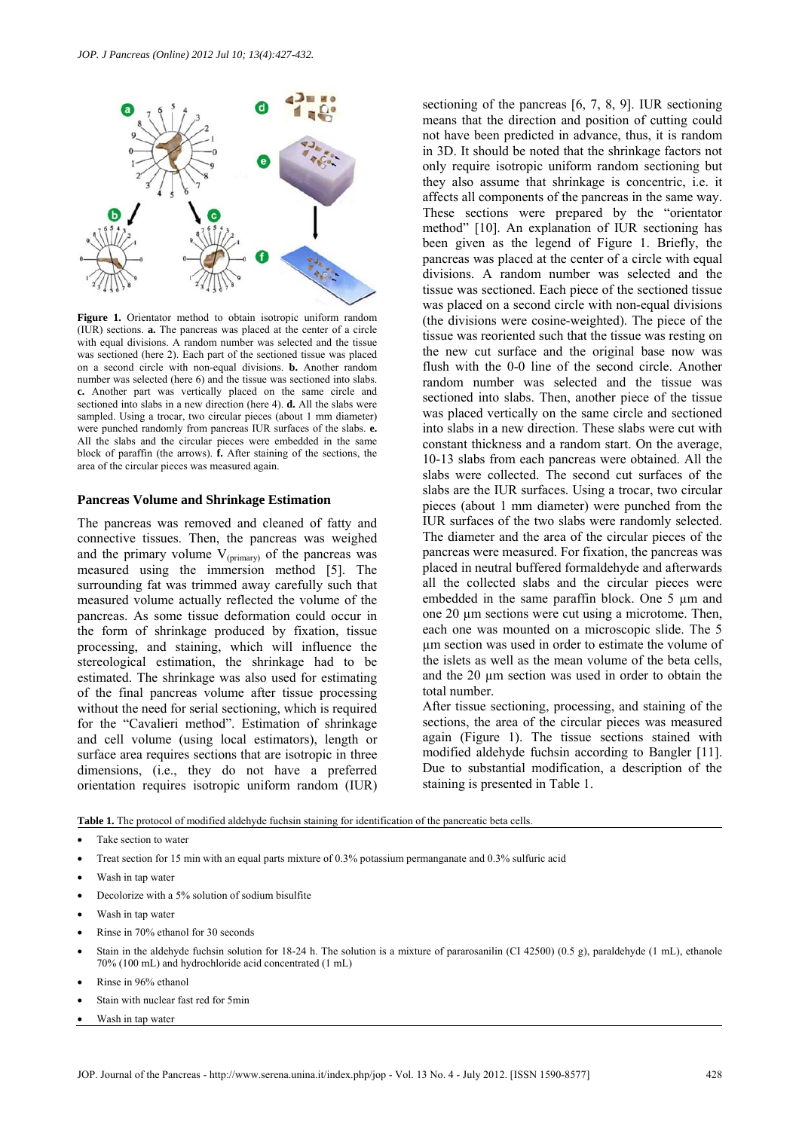

**Figure 1.** Orientator method to obtain isotropic uniform random (IUR) sections. **a.** The pancreas was placed at the center of a circle with equal divisions. A random number was selected and the tissue was sectioned (here 2). Each part of the sectioned tissue was placed on a second circle with non-equal divisions. **b.** Another random number was selected (here 6) and the tissue was sectioned into slabs. **c.** Another part was vertically placed on the same circle and sectioned into slabs in a new direction (here 4). **d.** All the slabs were sampled. Using a trocar, two circular pieces (about 1 mm diameter) were punched randomly from pancreas IUR surfaces of the slabs. **e.** All the slabs and the circular pieces were embedded in the same block of paraffin (the arrows). **f.** After staining of the sections, the area of the circular pieces was measured again.

#### **Pancreas Volume and Shrinkage Estimation**

The pancreas was removed and cleaned of fatty and connective tissues. Then, the pancreas was weighed and the primary volume  $V_{(primary)}$  of the pancreas was measured using the immersion method [5]. The surrounding fat was trimmed away carefully such that measured volume actually reflected the volume of the pancreas. As some tissue deformation could occur in the form of shrinkage produced by fixation, tissue processing, and staining, which will influence the stereological estimation, the shrinkage had to be estimated. The shrinkage was also used for estimating of the final pancreas volume after tissue processing without the need for serial sectioning, which is required for the "Cavalieri method". Estimation of shrinkage and cell volume (using local estimators), length or surface area requires sections that are isotropic in three dimensions, (i.e., they do not have a preferred orientation requires isotropic uniform random (IUR) sectioning of the pancreas [6, 7, 8, 9]. IUR sectioning means that the direction and position of cutting could not have been predicted in advance, thus, it is random in 3D. It should be noted that the shrinkage factors not only require isotropic uniform random sectioning but they also assume that shrinkage is concentric, i.e. it affects all components of the pancreas in the same way. These sections were prepared by the "orientator method" [10]. An explanation of IUR sectioning has been given as the legend of Figure 1. Briefly, the pancreas was placed at the center of a circle with equal divisions. A random number was selected and the tissue was sectioned. Each piece of the sectioned tissue was placed on a second circle with non-equal divisions (the divisions were cosine-weighted). The piece of the tissue was reoriented such that the tissue was resting on the new cut surface and the original base now was flush with the 0-0 line of the second circle. Another random number was selected and the tissue was sectioned into slabs. Then, another piece of the tissue was placed vertically on the same circle and sectioned into slabs in a new direction. These slabs were cut with constant thickness and a random start. On the average, 10-13 slabs from each pancreas were obtained. All the slabs were collected. The second cut surfaces of the slabs are the IUR surfaces. Using a trocar, two circular pieces (about 1 mm diameter) were punched from the IUR surfaces of the two slabs were randomly selected. The diameter and the area of the circular pieces of the pancreas were measured. For fixation, the pancreas was placed in neutral buffered formaldehyde and afterwards all the collected slabs and the circular pieces were embedded in the same paraffin block. One 5 um and one 20 um sections were cut using a microtome. Then, each one was mounted on a microscopic slide. The 5 µm section was used in order to estimate the volume of the islets as well as the mean volume of the beta cells, and the 20 µm section was used in order to obtain the total number.

After tissue sectioning, processing, and staining of the sections, the area of the circular pieces was measured again (Figure 1). The tissue sections stained with modified aldehyde fuchsin according to Bangler [11]. Due to substantial modification, a description of the staining is presented in Table 1.

**Table 1.** The protocol of modified aldehyde fuchsin staining for identification of the pancreatic beta cells.

- Take section to water
- Treat section for 15 min with an equal parts mixture of 0.3% potassium permanganate and 0.3% sulfuric acid
- Wash in tap water
- Decolorize with a 5% solution of sodium bisulfite
- Wash in tap water
- Rinse in 70% ethanol for 30 seconds
- Stain in the aldehyde fuchsin solution for 18-24 h. The solution is a mixture of pararosanilin (CI 42500) (0.5 g), paraldehyde (1 mL), ethanole 70% (100 mL) and hydrochloride acid concentrated (1 mL)
- Rinse in 96% ethanol
- Stain with nuclear fast red for 5min
- Wash in tap water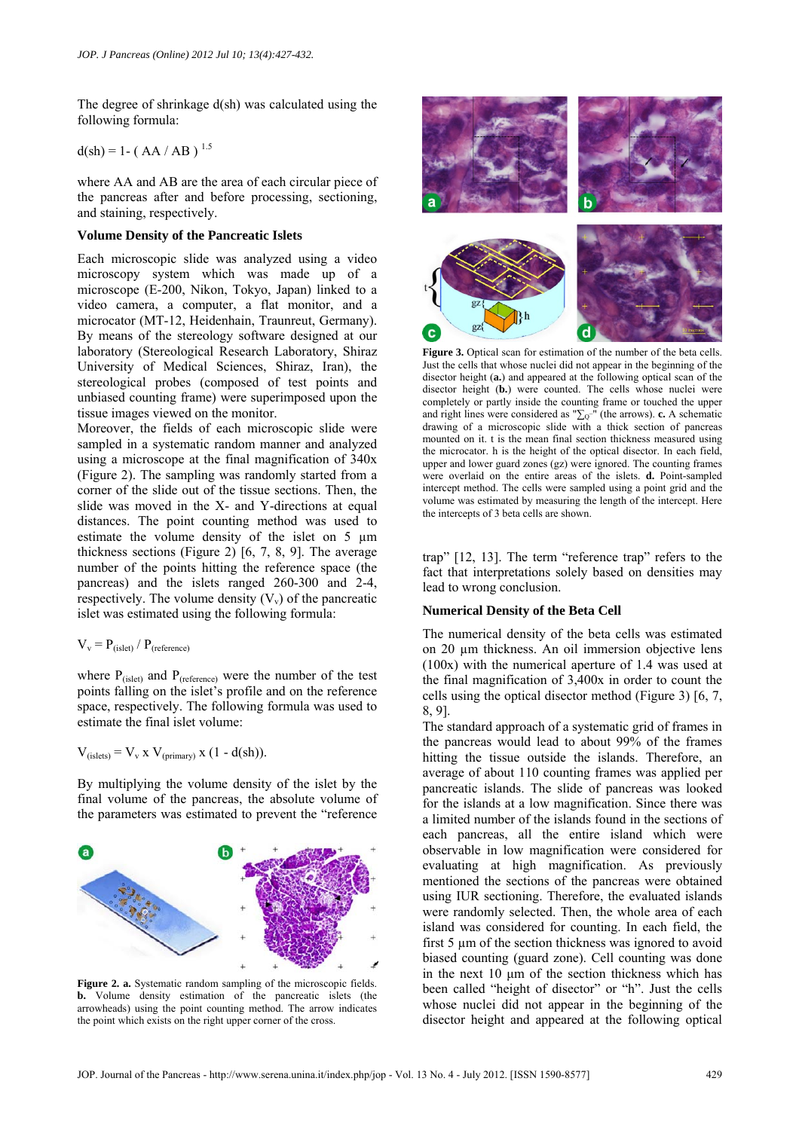The degree of shrinkage d(sh) was calculated using the following formula:

 $d(sh) = 1 - (AA/AB)^{1.5}$ 

where AA and AB are the area of each circular piece of the pancreas after and before processing, sectioning, and staining, respectively.

#### **Volume Density of the Pancreatic Islets**

Each microscopic slide was analyzed using a video microscopy system which was made up of a microscope (E-200, Nikon, Tokyo, Japan) linked to a video camera, a computer, a flat monitor, and a microcator (MT-12, Heidenhain, Traunreut, Germany). By means of the stereology software designed at our laboratory (Stereological Research Laboratory, Shiraz University of Medical Sciences, Shiraz, Iran), the stereological probes (composed of test points and unbiased counting frame) were superimposed upon the tissue images viewed on the monitor.

Moreover, the fields of each microscopic slide were sampled in a systematic random manner and analyzed using a microscope at the final magnification of 340x (Figure 2). The sampling was randomly started from a corner of the slide out of the tissue sections. Then, the slide was moved in the X- and Y-directions at equal distances. The point counting method was used to estimate the volume density of the islet on 5 µm thickness sections (Figure 2) [6, 7, 8, 9]. The average number of the points hitting the reference space (the pancreas) and the islets ranged 260-300 and 2-4, respectively. The volume density  $(V_y)$  of the pancreatic islet was estimated using the following formula:

 $V_v = P_{(islet)} / P_{(reference)}$ 

where  $P_{(islet)}$  and  $P_{(reference)}$  were the number of the test points falling on the islet's profile and on the reference space, respectively. The following formula was used to estimate the final islet volume:

$$
V_{(islets)} = V_v x V_{(primary)} x (1 - d(sh)).
$$

By multiplying the volume density of the islet by the final volume of the pancreas, the absolute volume of the parameters was estimated to prevent the "reference



**Figure 2. a.** Systematic random sampling of the microscopic fields. **b.** Volume density estimation of the pancreatic islets (the arrowheads) using the point counting method. The arrow indicates the point which exists on the right upper corner of the cross.



**Figure 3.** Optical scan for estimation of the number of the beta cells. Just the cells that whose nuclei did not appear in the beginning of the disector height (**a.**) and appeared at the following optical scan of the disector height (**b.**) were counted. The cells whose nuclei were completely or partly inside the counting frame or touched the upper and right lines were considered as  $" \sum_{Q}^{-}$ <sup>"</sup> (the arrows). **c.** A schematic drawing of a microscopic slide with a thick section of pancreas mounted on it. t is the mean final section thickness measured using the microcator. h is the height of the optical disector. In each field, upper and lower guard zones (gz) were ignored. The counting frames were overlaid on the entire areas of the islets. **d.** Point-sampled intercept method. The cells were sampled using a point grid and the volume was estimated by measuring the length of the intercept. Here the intercepts of 3 beta cells are shown.

trap" [12, 13]. The term "reference trap" refers to the fact that interpretations solely based on densities may lead to wrong conclusion.

# **Numerical Density of the Beta Cell**

The numerical density of the beta cells was estimated on 20 µm thickness. An oil immersion objective lens (100x) with the numerical aperture of 1.4 was used at the final magnification of 3,400x in order to count the cells using the optical disector method (Figure 3) [6, 7, 8, 9].

The standard approach of a systematic grid of frames in the pancreas would lead to about 99% of the frames hitting the tissue outside the islands. Therefore, an average of about 110 counting frames was applied per pancreatic islands. The slide of pancreas was looked for the islands at a low magnification. Since there was a limited number of the islands found in the sections of each pancreas, all the entire island which were observable in low magnification were considered for evaluating at high magnification. As previously mentioned the sections of the pancreas were obtained using IUR sectioning. Therefore, the evaluated islands were randomly selected. Then, the whole area of each island was considered for counting. In each field, the first 5 µm of the section thickness was ignored to avoid biased counting (guard zone). Cell counting was done in the next 10 μm of the section thickness which has been called "height of disector" or "h". Just the cells whose nuclei did not appear in the beginning of the disector height and appeared at the following optical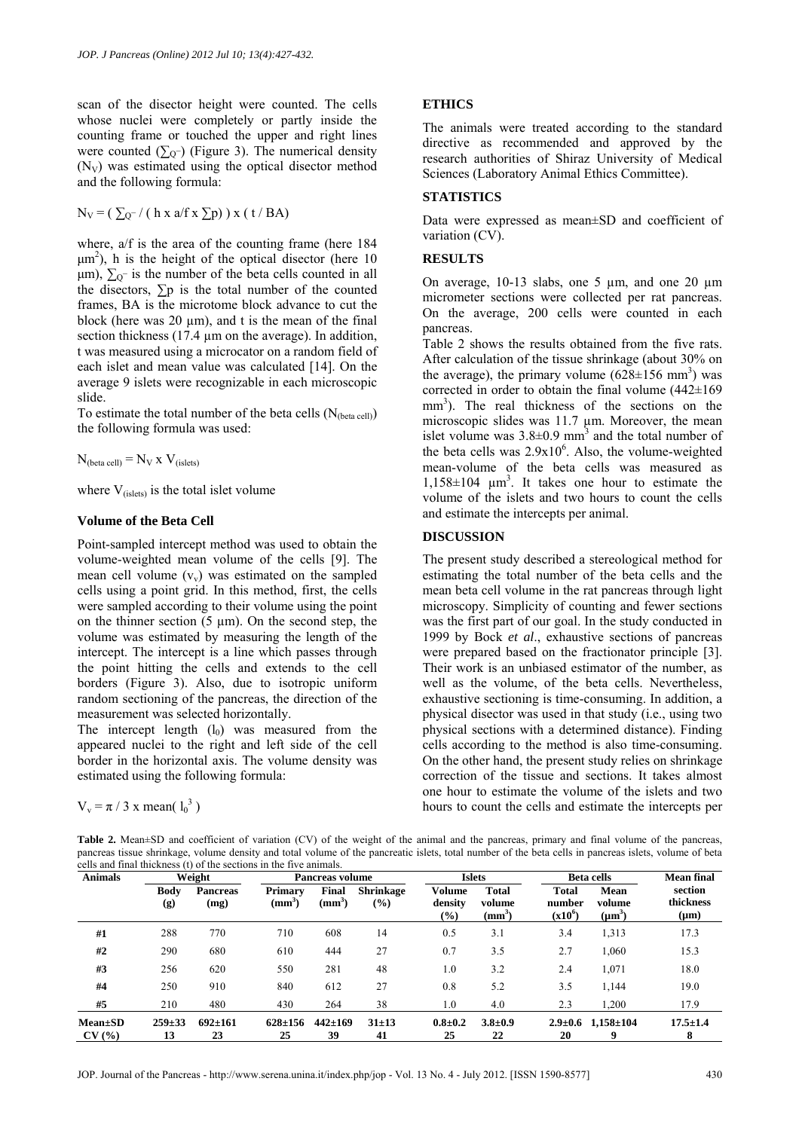scan of the disector height were counted. The cells whose nuclei were completely or partly inside the counting frame or touched the upper and right lines were counted  $(\sum_{Q}$ ) (Figure 3). The numerical density  $(N_V)$  was estimated using the optical disector method and the following formula:

$$
N_V = (\sum_{Q^-} / (\text{ h x a/f x } \sum p)) x (t / BA)
$$

where, a/f is the area of the counting frame (here 184  $\mu$ m<sup>2</sup>), h is the height of the optical disector (here 10  $\mu$ m),  $\Sigma$ <sub>Q</sub>- is the number of the beta cells counted in all the disectors,  $\Sigma$ p is the total number of the counted frames, BA is the microtome block advance to cut the block (here was  $20 \text{ µm}$ ), and t is the mean of the final section thickness (17.4 µm on the average). In addition, t was measured using a microcator on a random field of each islet and mean value was calculated [14]. On the average 9 islets were recognizable in each microscopic slide.

To estimate the total number of the beta cells  $(N_{\text{(beta cell)}})$ the following formula was used:

 $N_{\text{(beta cell)}} = N_V \times V_{\text{(islets)}}$ 

where  $V_{(islets)}$  is the total islet volume

#### **Volume of the Beta Cell**

Point-sampled intercept method was used to obtain the volume-weighted mean volume of the cells [9]. The mean cell volume  $(v_v)$  was estimated on the sampled cells using a point grid. In this method, first, the cells were sampled according to their volume using the point on the thinner section  $(5 \mu m)$ . On the second step, the volume was estimated by measuring the length of the intercept. The intercept is a line which passes through the point hitting the cells and extends to the cell borders (Figure 3). Also, due to isotropic uniform random sectioning of the pancreas, the direction of the measurement was selected horizontally.

The intercept length  $(l_0)$  was measured from the appeared nuclei to the right and left side of the cell border in the horizontal axis. The volume density was estimated using the following formula:

$$
V_v = \pi / 3 \times mean( l_0^3 )
$$

#### **ETHICS**

The animals were treated according to the standard directive as recommended and approved by the research authorities of Shiraz University of Medical Sciences (Laboratory Animal Ethics Committee).

# **STATISTICS**

Data were expressed as mean±SD and coefficient of variation (CV).

#### **RESULTS**

On average,  $10-13$  slabs, one 5  $\mu$ m, and one 20  $\mu$ m micrometer sections were collected per rat pancreas. On the average, 200 cells were counted in each pancreas.

Table 2 shows the results obtained from the five rats. After calculation of the tissue shrinkage (about 30% on the average), the primary volume  $(628 \pm 156 \text{ mm}^3)$  was corrected in order to obtain the final volume  $(442\pm169)$ mm<sup>3</sup>). The real thickness of the sections on the microscopic slides was 11.7  $\mu$ m. Moreover, the mean islet volume was  $3.8\pm0.9$  mm<sup>3</sup> and the total number of the beta cells was  $2.9x10^6$ . Also, the volume-weighted mean-volume of the beta cells was measured as  $1,158\pm104$  µm<sup>3</sup>. It takes one hour to estimate the volume of the islets and two hours to count the cells and estimate the intercepts per animal.

#### **DISCUSSION**

The present study described a stereological method for estimating the total number of the beta cells and the mean beta cell volume in the rat pancreas through light microscopy. Simplicity of counting and fewer sections was the first part of our goal. In the study conducted in 1999 by Bock *et al*., exhaustive sections of pancreas were prepared based on the fractionator principle [3]. Their work is an unbiased estimator of the number, as well as the volume, of the beta cells. Nevertheless, exhaustive sectioning is time-consuming. In addition, a physical disector was used in that study (i.e., using two physical sections with a determined distance). Finding cells according to the method is also time-consuming. On the other hand, the present study relies on shrinkage correction of the tissue and sections. It takes almost one hour to estimate the volume of the islets and two hours to count the cells and estimate the intercepts per

Table 2. Mean±SD and coefficient of variation (CV) of the weight of the animal and the pancreas, primary and final volume of the pancreas, pancreas tissue shrinkage, volume density and total volume of the pancreatic islets, total number of the beta cells in pancreas islets, volume of beta cells and final thickness (t) of the sections in the five animals.

| <b>Animals</b>         | Weight             |                     | Pancreas volume     |                     |                                   | <b>Islets</b>                      |                             | <b>Beta cells</b>                   |                               | <b>Mean final</b>                 |
|------------------------|--------------------|---------------------|---------------------|---------------------|-----------------------------------|------------------------------------|-----------------------------|-------------------------------------|-------------------------------|-----------------------------------|
|                        | <b>Body</b><br>(g) | Pancreas<br>(mg)    | Primary<br>$(mm^3)$ | Final<br>$(mm^3)$   | <b>Shrinkage</b><br>$\frac{9}{6}$ | Volume<br>density<br>$\frac{6}{6}$ | Total<br>volume<br>$(mm^3)$ | <b>Total</b><br>number<br>$(x10^6)$ | Mean<br>volume<br>$(\mu m^3)$ | section<br>thickness<br>$(\mu m)$ |
| #1                     | 288                | 770                 | 710                 | 608                 | 14                                | 0.5                                | 3.1                         | 3.4                                 | 1,313                         | 17.3                              |
| #2                     | 290                | 680                 | 610                 | 444                 | 27                                | 0.7                                | 3.5                         | 2.7                                 | 1,060                         | 15.3                              |
| #3                     | 256                | 620                 | 550                 | 281                 | 48                                | 1.0                                | 3.2                         | 2.4                                 | 1,071                         | 18.0                              |
| #4                     | 250                | 910                 | 840                 | 612                 | 27                                | 0.8                                | 5.2                         | 3.5                                 | 1,144                         | 19.0                              |
| #5                     | 210                | 480                 | 430                 | 264                 | 38                                | 1.0                                | 4.0                         | 2.3                                 | 1,200                         | 17.9                              |
| $Mean \pm SD$<br>CV(%) | $259 + 33$<br>13   | $692 \pm 161$<br>23 | $628 \pm 156$<br>25 | $442 \pm 169$<br>39 | $31 \pm 13$<br>41                 | $0.8 + 0.2$<br>25                  | $3.8 \pm 0.9$<br>22         | 20                                  | $2.9 \pm 0.6$ 1,158 $\pm$ 104 | $17.5 \pm 1.4$<br>8               |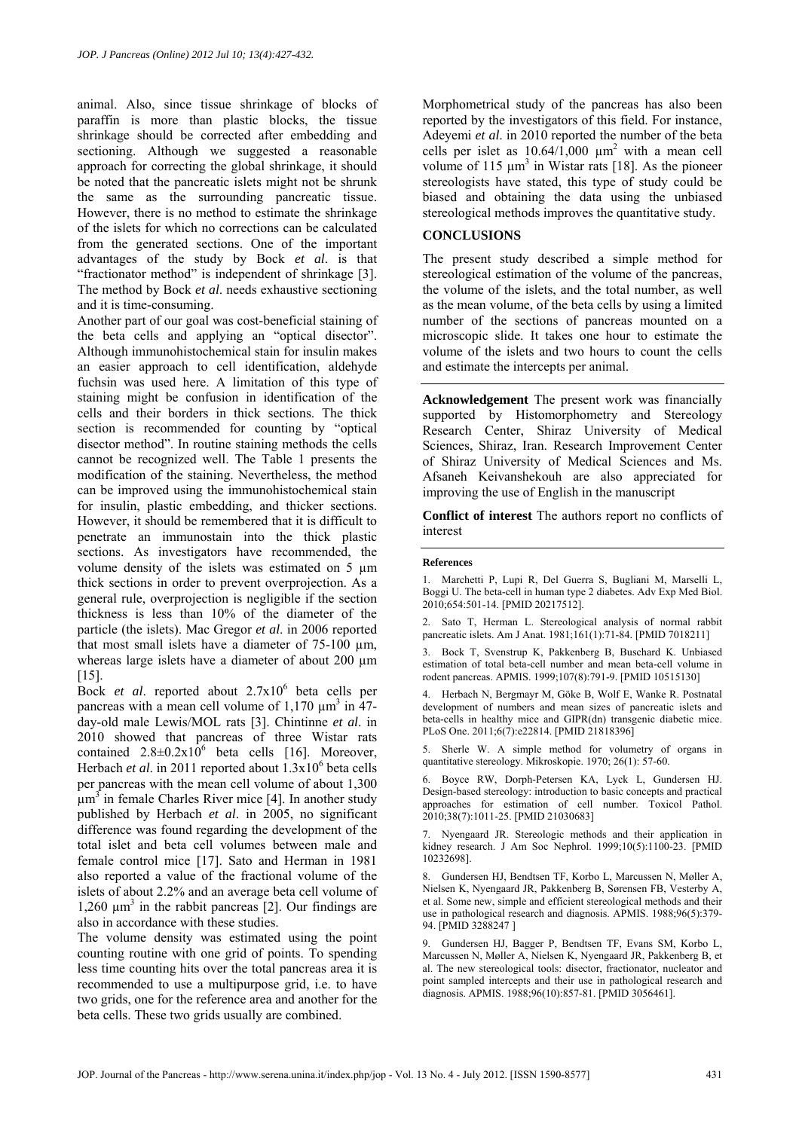animal. Also, since tissue shrinkage of blocks of paraffin is more than plastic blocks, the tissue shrinkage should be corrected after embedding and sectioning. Although we suggested a reasonable approach for correcting the global shrinkage, it should be noted that the pancreatic islets might not be shrunk the same as the surrounding pancreatic tissue. However, there is no method to estimate the shrinkage of the islets for which no corrections can be calculated from the generated sections. One of the important advantages of the study by Bock *et al*. is that "fractionator method" is independent of shrinkage [3]. The method by Bock *et al*. needs exhaustive sectioning and it is time-consuming.

Another part of our goal was cost-beneficial staining of the beta cells and applying an "optical disector". Although immunohistochemical stain for insulin makes an easier approach to cell identification, aldehyde fuchsin was used here. A limitation of this type of staining might be confusion in identification of the cells and their borders in thick sections. The thick section is recommended for counting by "optical disector method". In routine staining methods the cells cannot be recognized well. The Table 1 presents the modification of the staining. Nevertheless, the method can be improved using the immunohistochemical stain for insulin, plastic embedding, and thicker sections. However, it should be remembered that it is difficult to penetrate an immunostain into the thick plastic sections. As investigators have recommended, the volume density of the islets was estimated on 5 um thick sections in order to prevent overprojection. As a general rule, overprojection is negligible if the section thickness is less than 10% of the diameter of the particle (the islets). Mac Gregor *et al*. in 2006 reported that most small islets have a diameter of 75-100 µm, whereas large islets have a diameter of about 200  $\mu$ m [15].

Bock *et al.* reported about 2.7x10<sup>6</sup> beta cells per pancreas with a mean cell volume of  $1,170 \mu m^3$  in  $47$ day-old male Lewis/MOL rats [3]. Chintinne *et al*. in 2010 showed that pancreas of three Wistar rats contained  $2.8 \pm 0.2 \times 10^6$  beta cells [16]. Moreover, Herbach *et al.* in 2011 reported about 1.3x10<sup>6</sup> beta cells per pancreas with the mean cell volume of about 1,300  $\mu$ m<sup>3</sup> in female Charles River mice [4]. In another study published by Herbach *et al*. in 2005, no significant difference was found regarding the development of the total islet and beta cell volumes between male and female control mice [17]. Sato and Herman in 1981 also reported a value of the fractional volume of the islets of about 2.2% and an average beta cell volume of 1,260  $\mu$ m<sup>3</sup> in the rabbit pancreas [2]. Our findings are also in accordance with these studies.

The volume density was estimated using the point counting routine with one grid of points. To spending less time counting hits over the total pancreas area it is recommended to use a multipurpose grid, i.e. to have two grids, one for the reference area and another for the beta cells. These two grids usually are combined.

Morphometrical study of the pancreas has also been reported by the investigators of this field. For instance, Adeyemi *et al*. in 2010 reported the number of the beta cells per islet as  $10.64/1,000 \mu m^2$  with a mean cell volume of 115  $\mu$ m<sup>3</sup> in Wistar rats [18]. As the pioneer stereologists have stated, this type of study could be biased and obtaining the data using the unbiased stereological methods improves the quantitative study.

# **CONCLUSIONS**

The present study described a simple method for stereological estimation of the volume of the pancreas, the volume of the islets, and the total number, as well as the mean volume, of the beta cells by using a limited number of the sections of pancreas mounted on a microscopic slide. It takes one hour to estimate the volume of the islets and two hours to count the cells and estimate the intercepts per animal.

**Acknowledgement** The present work was financially supported by Histomorphometry and Stereology Research Center, Shiraz University of Medical Sciences, Shiraz, Iran. Research Improvement Center of Shiraz University of Medical Sciences and Ms. Afsaneh Keivanshekouh are also appreciated for improving the use of English in the manuscript

**Conflict of interest** The authors report no conflicts of interest

#### **References**

1. Marchetti P, Lupi R, Del Guerra S, Bugliani M, Marselli L, Boggi U. The beta-cell in human type 2 diabetes. Adv Exp Med Biol. 2010;654:501-14. [PMID 20217512].

2. Sato T, Herman L. Stereological analysis of normal rabbit pancreatic islets. Am J Anat. 1981;161(1):71-84. [PMID 7018211]

3. Bock T, Svenstrup K, Pakkenberg B, Buschard K. Unbiased estimation of total beta-cell number and mean beta-cell volume in rodent pancreas. APMIS. 1999;107(8):791-9. [PMID 10515130]

4. Herbach N, Bergmayr M, Göke B, Wolf E, Wanke R. Postnatal development of numbers and mean sizes of pancreatic islets and beta-cells in healthy mice and GIPR(dn) transgenic diabetic mice. PLoS One. 2011;6(7):e22814. [PMID 21818396]

5. Sherle W. A simple method for volumetry of organs in quantitative stereology. Mikroskopie. 1970; 26(1): 57-60.

6. Boyce RW, Dorph-Petersen KA, Lyck L, Gundersen HJ. Design-based stereology: introduction to basic concepts and practical approaches for estimation of cell number. Toxicol Pathol. 2010;38(7):1011-25. [PMID 21030683]

7. Nyengaard JR. Stereologic methods and their application in kidney research. J Am Soc Nephrol. 1999;10(5):1100-23. [PMID 10232698].

8. Gundersen HJ, Bendtsen TF, Korbo L, Marcussen N, Møller A, Nielsen K, Nyengaard JR, Pakkenberg B, Sørensen FB, Vesterby A, et al. Some new, simple and efficient stereological methods and their use in pathological research and diagnosis. APMIS. 1988;96(5):379- 94. [PMID 3288247 ]

9. Gundersen HJ, Bagger P, Bendtsen TF, Evans SM, Korbo L, Marcussen N, Møller A, Nielsen K, Nyengaard JR, Pakkenberg B, et al. The new stereological tools: disector, fractionator, nucleator and point sampled intercepts and their use in pathological research and diagnosis. APMIS. 1988;96(10):857-81. [PMID 3056461].